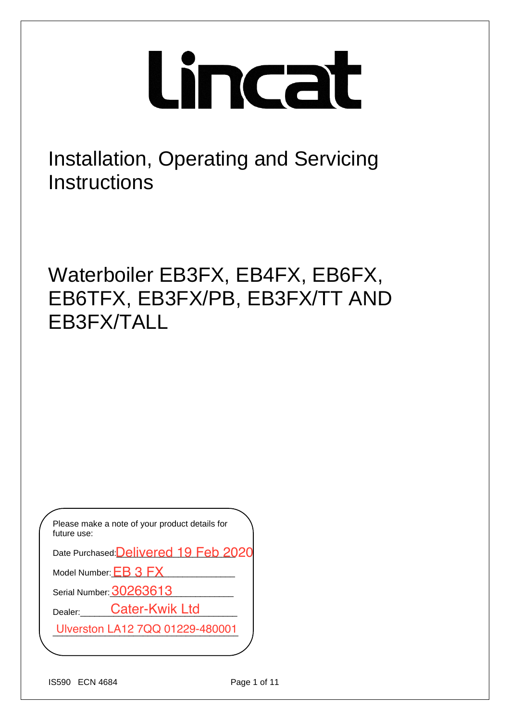# Lincat

Installation, Operating and Servicing **Instructions** 

Waterboiler EB3FX, EB4FX, EB6FX, EB6TFX, EB3FX/PB, EB3FX/TT AND EB3FX/TALL

Please make a note of your product details for future use:

Date Purchased: <mark>Delivered 19 Feb 2020</mark>

Model Number:  $EB$  3  $FX$ 

Serial Number: <mark>30263613</mark>

Dealer: Cater-Kwik Ltd

Model Number: <u>EB 3 FX</u><br>Serial Number: <mark>30263613</mark><br>Dealer:\_\_\_\_\_Cater-Kwik Ltd<br>Ulverston LA12 7QQ 01229-480001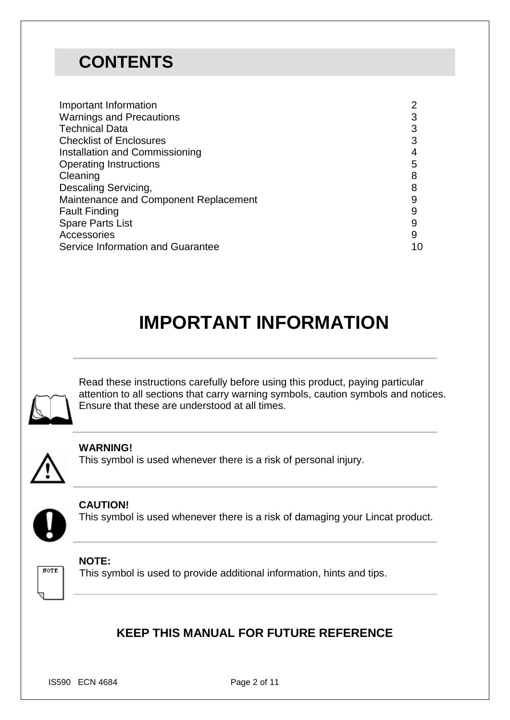## **CONTENTS**

| Important Information                 | າ  |
|---------------------------------------|----|
| <b>Warnings and Precautions</b>       |    |
| <b>Technical Data</b>                 |    |
| <b>Checklist of Enclosures</b>        |    |
| Installation and Commissioning        |    |
| <b>Operating Instructions</b>         | 5  |
| Cleaning                              |    |
| Descaling Servicing,                  |    |
| Maintenance and Component Replacement | 9  |
| <b>Fault Finding</b>                  |    |
| <b>Spare Parts List</b>               | 9  |
| Accessories                           | 9  |
| Service Information and Guarantee     | 10 |

# **IMPORTANT INFORMATION**



Read these instructions carefully before using this product, paying particular attention to all sections that carry warning symbols, caution symbols and notices. Ensure that these are understood at all times.



#### **WARNING!**

This symbol is used whenever there is a risk of personal injury.



 $NOTE$ 

**CAUTION!** This symbol is used whenever there is a risk of damaging your Lincat product.

### **NOTE:**

This symbol is used to provide additional information, hints and tips.

## **KEEP THIS MANUAL FOR FUTURE REFERENCE**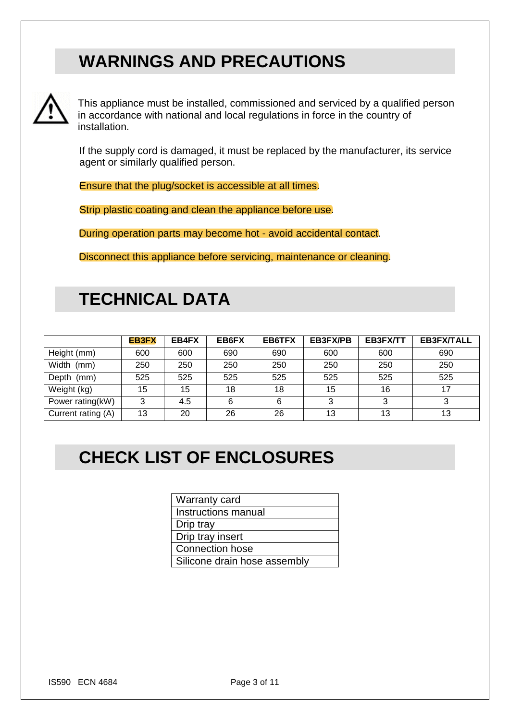## **WARNINGS AND PRECAUTIONS**



This appliance must be installed, commissioned and serviced by a qualified person in accordance with national and local regulations in force in the country of installation.

If the supply cord is damaged, it must be replaced by the manufacturer, its service agent or similarly qualified person.

Ensure that the plug/socket is accessible at all times.

Strip plastic coating and clean the appliance before use.

During operation parts may become hot - avoid accidental contact.

Disconnect this appliance before servicing, maintenance or cleaning.

## **TECHNICAL DATA**

|                    | <b>EB3FX</b> | EB4FX | EB6FX | EB6TFX | <b>EB3FX/PB</b> | EB3FX/TT | <b>EB3FX/TALL</b> |
|--------------------|--------------|-------|-------|--------|-----------------|----------|-------------------|
| Height (mm)        | 600          | 600   | 690   | 690    | 600             | 600      | 690               |
| Width (mm)         | 250          | 250   | 250   | 250    | 250             | 250      | 250               |
| Depth (mm)         | 525          | 525   | 525   | 525    | 525             | 525      | 525               |
| Weight (kg)        | 15           | 15    | 18    | 18     | 15              | 16       |                   |
| Power rating(kW)   | 3            | 4.5   | 6     | 6      | っ               | 3        |                   |
| Current rating (A) | 13           | 20    | 26    | 26     | 13              | 13       | 13                |

# **CHECK LIST OF ENCLOSURES**

| <b>Warranty card</b>         |
|------------------------------|
| Instructions manual          |
| Drip tray                    |
| Drip tray insert             |
| <b>Connection hose</b>       |
| Silicone drain hose assembly |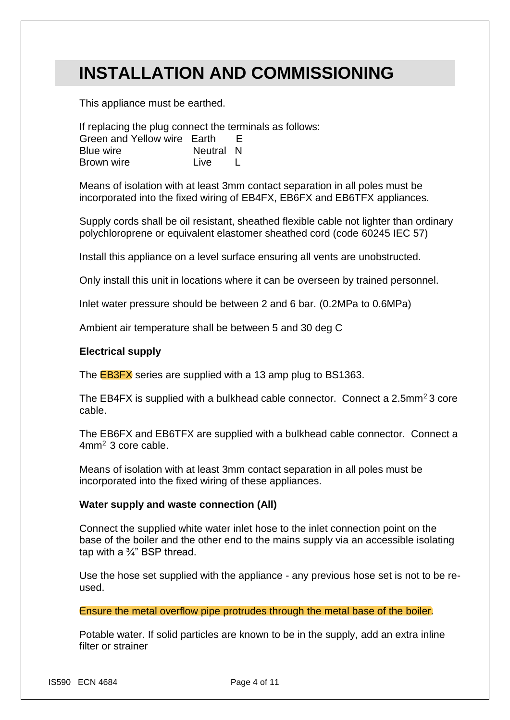## **INSTALLATION AND COMMISSIONING**

This appliance must be earthed.

If replacing the plug connect the terminals as follows: Green and Yellow wire Earth E Blue wire **Neutral N** Brown wire Live Live

Means of isolation with at least 3mm contact separation in all poles must be incorporated into the fixed wiring of EB4FX, EB6FX and EB6TFX appliances.

Supply cords shall be oil resistant, sheathed flexible cable not lighter than ordinary polychloroprene or equivalent elastomer sheathed cord (code 60245 IEC 57)

Install this appliance on a level surface ensuring all vents are unobstructed.

Only install this unit in locations where it can be overseen by trained personnel.

Inlet water pressure should be between 2 and 6 bar. (0.2MPa to 0.6MPa)

Ambient air temperature shall be between 5 and 30 deg C

#### **Electrical supply**

The **EB3FX** series are supplied with a 13 amp plug to BS1363.

The EB4FX is supplied with a bulkhead cable connector. Connect a 2.5mm<sup>2</sup> 3 core cable.

The EB6FX and EB6TFX are supplied with a bulkhead cable connector. Connect a 4mm<sup>2</sup> 3 core cable.

Means of isolation with at least 3mm contact separation in all poles must be incorporated into the fixed wiring of these appliances.

#### **Water supply and waste connection (All)**

Connect the supplied white water inlet hose to the inlet connection point on the base of the boiler and the other end to the mains supply via an accessible isolating tap with a ¾" BSP thread.

Use the hose set supplied with the appliance - any previous hose set is not to be reused.

Ensure the metal overflow pipe protrudes through the metal base of the boiler.

Potable water. If solid particles are known to be in the supply, add an extra inline filter or strainer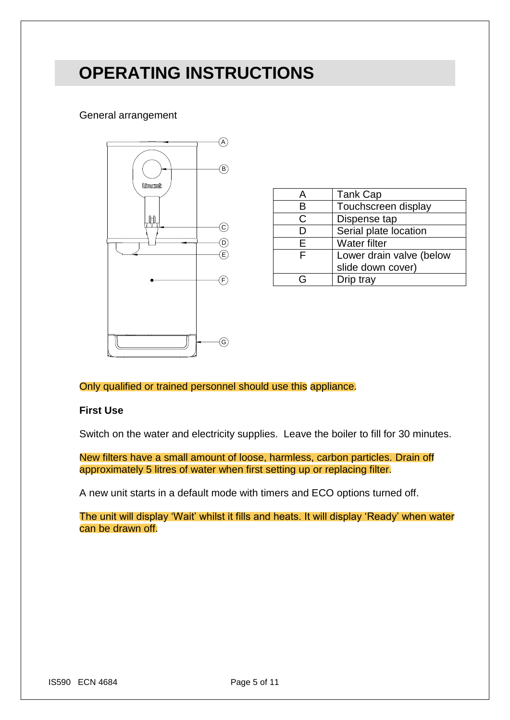## **OPERATING INSTRUCTIONS**

#### General arrangement



|    | <b>Tank Cap</b>          |  |
|----|--------------------------|--|
| R  | Touchscreen display      |  |
| C  | Dispense tap             |  |
|    | Serial plate location    |  |
| F. | <b>Water filter</b>      |  |
| F  | Lower drain valve (below |  |
|    | slide down cover)        |  |
|    | Drip tray                |  |

#### Only qualified or trained personnel should use this appliance.

#### **First Use**

Switch on the water and electricity supplies. Leave the boiler to fill for 30 minutes.

New filters have a small amount of loose, harmless, carbon particles. Drain off approximately 5 litres of water when first setting up or replacing filter.

A new unit starts in a default mode with timers and ECO options turned off.

The unit will display 'Wait' whilst it fills and heats. It will display 'Ready' when water can be drawn off.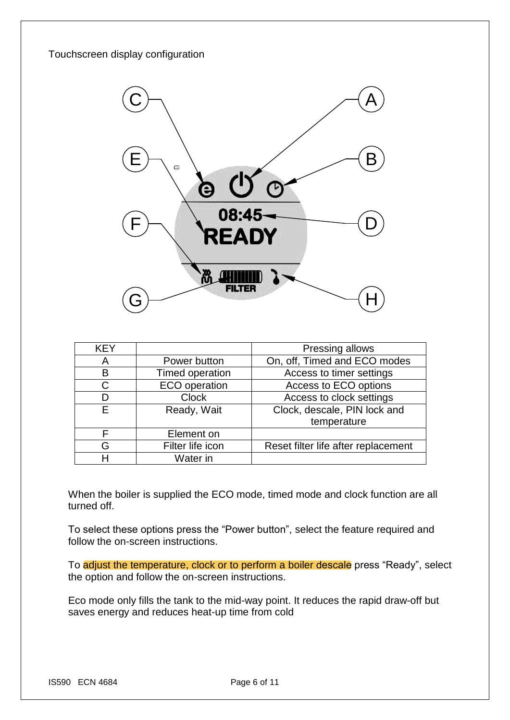#### Touchscreen display configuration



| <b>KEY</b> |                      | Pressing allows                     |
|------------|----------------------|-------------------------------------|
| A          | Power button         | On, off, Timed and ECO modes        |
| B          | Timed operation      | Access to timer settings            |
| C          | <b>ECO</b> operation | Access to ECO options               |
| D          | <b>Clock</b>         | Access to clock settings            |
| E          | Ready, Wait          | Clock, descale, PIN lock and        |
|            |                      | temperature                         |
| F          | Element on           |                                     |
| G          | Filter life icon     | Reset filter life after replacement |
| н          | Water in             |                                     |

When the boiler is supplied the ECO mode, timed mode and clock function are all turned off.

To select these options press the "Power button", select the feature required and follow the on-screen instructions.

To adjust the temperature, clock or to perform a boiler descale press "Ready", select the option and follow the on-screen instructions.

Eco mode only fills the tank to the mid-way point. It reduces the rapid draw-off but saves energy and reduces heat-up time from cold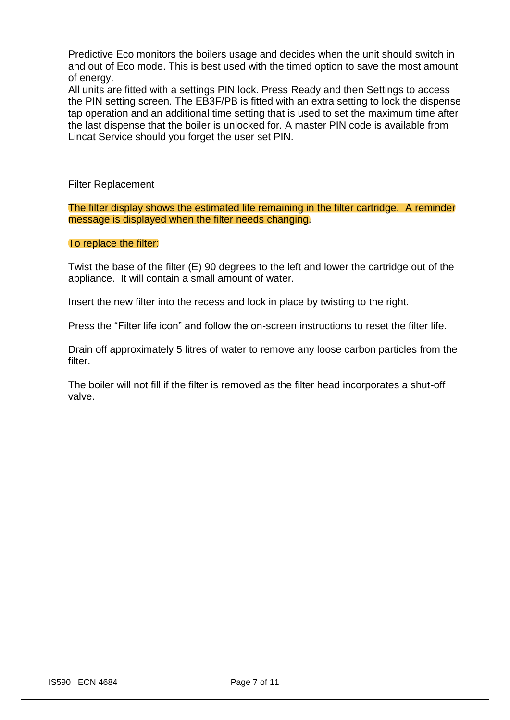Predictive Eco monitors the boilers usage and decides when the unit should switch in and out of Eco mode. This is best used with the timed option to save the most amount of energy.

All units are fitted with a settings PIN lock. Press Ready and then Settings to access the PIN setting screen. The EB3F/PB is fitted with an extra setting to lock the dispense tap operation and an additional time setting that is used to set the maximum time after the last dispense that the boiler is unlocked for. A master PIN code is available from Lincat Service should you forget the user set PIN.

Filter Replacement

The filter display shows the estimated life remaining in the filter cartridge. A reminder message is displayed when the filter needs changing.

#### To replace the filter:

Twist the base of the filter (E) 90 degrees to the left and lower the cartridge out of the appliance. It will contain a small amount of water.

Insert the new filter into the recess and lock in place by twisting to the right.

Press the "Filter life icon" and follow the on-screen instructions to reset the filter life.

Drain off approximately 5 litres of water to remove any loose carbon particles from the filter.

The boiler will not fill if the filter is removed as the filter head incorporates a shut-off valve.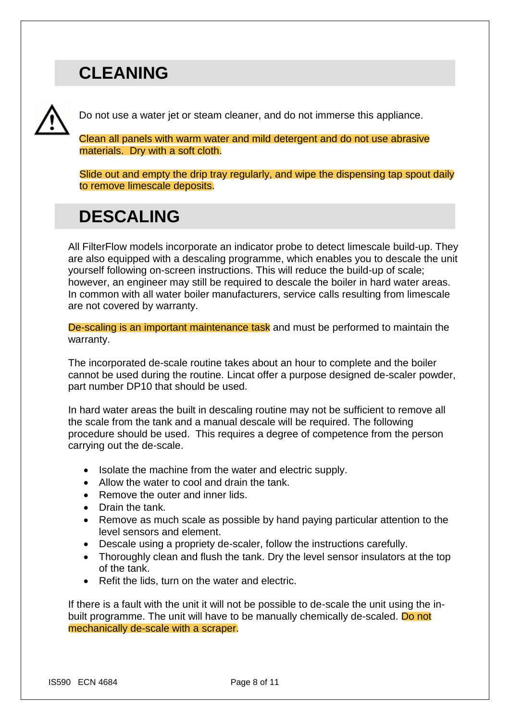## **CLEANING**

Do not use a water jet or steam cleaner, and do not immerse this appliance.

Clean all panels with warm water and mild detergent and do not use abrasive materials. Dry with a soft cloth.

Slide out and empty the drip tray regularly, and wipe the dispensing tap spout daily to remove limescale deposits.

## **DESCALING**

All FilterFlow models incorporate an indicator probe to detect limescale build-up. They are also equipped with a descaling programme, which enables you to descale the unit yourself following on-screen instructions. This will reduce the build-up of scale; however, an engineer may still be required to descale the boiler in hard water areas. In common with all water boiler manufacturers, service calls resulting from limescale are not covered by warranty.

De-scaling is an important maintenance task and must be performed to maintain the warranty.

The incorporated de-scale routine takes about an hour to complete and the boiler cannot be used during the routine. Lincat offer a purpose designed de-scaler powder, part number DP10 that should be used.

In hard water areas the built in descaling routine may not be sufficient to remove all the scale from the tank and a manual descale will be required. The following procedure should be used. This requires a degree of competence from the person carrying out the de-scale.

- Isolate the machine from the water and electric supply.
- Allow the water to cool and drain the tank.
- Remove the outer and inner lids.
- Drain the tank.
- Remove as much scale as possible by hand paying particular attention to the level sensors and element.
- Descale using a propriety de-scaler, follow the instructions carefully.
- Thoroughly clean and flush the tank. Dry the level sensor insulators at the top of the tank.
- Refit the lids, turn on the water and electric.

If there is a fault with the unit it will not be possible to de-scale the unit using the inbuilt programme. The unit will have to be manually chemically de-scaled. Do not mechanically de-scale with a scraper.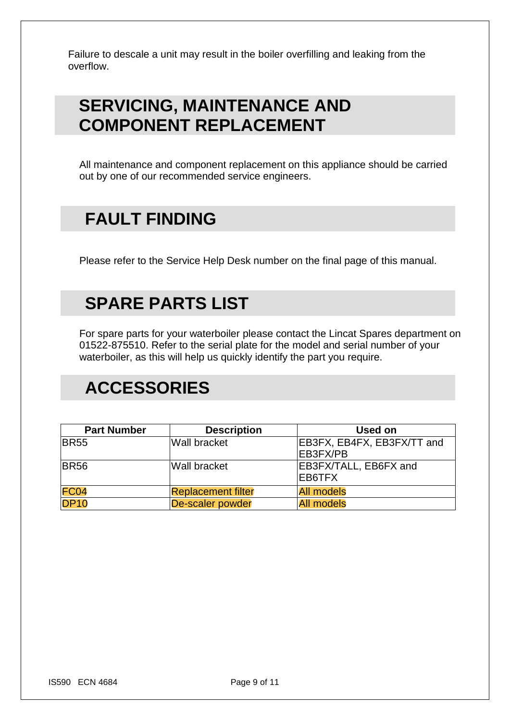Failure to descale a unit may result in the boiler overfilling and leaking from the overflow.

## **SERVICING, MAINTENANCE AND COMPONENT REPLACEMENT**

All maintenance and component replacement on this appliance should be carried out by one of our recommended service engineers.

## **FAULT FINDING**

Please refer to the Service Help Desk number on the final page of this manual.

## **SPARE PARTS LIST**

For spare parts for your waterboiler please contact the Lincat Spares department on 01522-875510. Refer to the serial plate for the model and serial number of your waterboiler, as this will help us quickly identify the part you require.

## **ACCESSORIES**

| <b>Part Number</b> | <b>Description</b>        | <b>Used on</b>             |
|--------------------|---------------------------|----------------------------|
| <b>BR55</b>        | <b>Wall bracket</b>       | EB3FX, EB4FX, EB3FX/TT and |
|                    |                           | EB3FX/PB                   |
| <b>BR56</b>        | Wall bracket              | EB3FX/TALL, EB6FX and      |
|                    |                           | EB6TFX                     |
| <b>FC04</b>        | <b>Replacement filter</b> | <b>All models</b>          |
| <b>DP10</b>        | <b>De-scaler powder</b>   | <b>All models</b>          |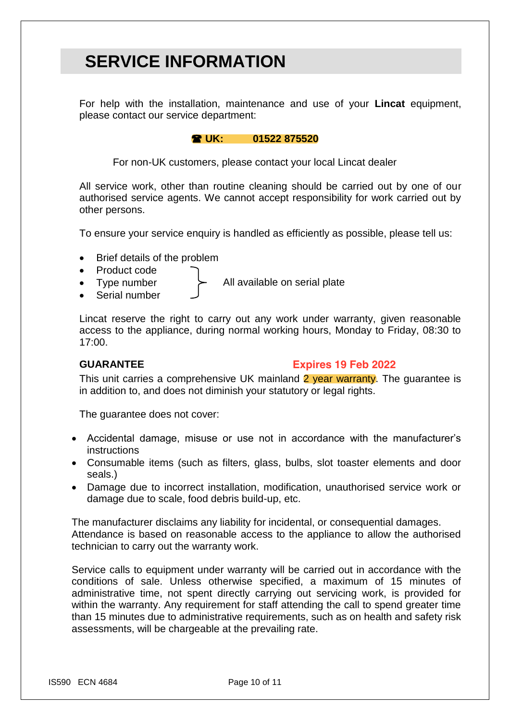## **SERVICE INFORMATION**

For help with the installation, maintenance and use of your **Lincat** equipment, please contact our service department:

#### **UK: 01522 875520**

For non-UK customers, please contact your local Lincat dealer

All service work, other than routine cleaning should be carried out by one of our authorised service agents. We cannot accept responsibility for work carried out by other persons.

To ensure your service enquiry is handled as efficiently as possible, please tell us:

- Brief details of the problem
- Product code
	- Type number  $\rightarrow$  All available on serial plate
- Serial number

Lincat reserve the right to carry out any work under warranty, given reasonable access to the appliance, during normal working hours, Monday to Friday, 08:30 to 17:00.

#### **GUARANTEE**

#### **Expires 19 Feb 2022**

This unit carries a comprehensive UK mainland 2 year warranty. The quarantee is in addition to, and does not diminish your statutory or legal rights.

The guarantee does not cover:

- Accidental damage, misuse or use not in accordance with the manufacturer's instructions
- Consumable items (such as filters, glass, bulbs, slot toaster elements and door seals.)
- Damage due to incorrect installation, modification, unauthorised service work or damage due to scale, food debris build-up, etc.

The manufacturer disclaims any liability for incidental, or consequential damages. Attendance is based on reasonable access to the appliance to allow the authorised technician to carry out the warranty work.

Service calls to equipment under warranty will be carried out in accordance with the conditions of sale. Unless otherwise specified, a maximum of 15 minutes of administrative time, not spent directly carrying out servicing work, is provided for within the warranty. Any requirement for staff attending the call to spend greater time than 15 minutes due to administrative requirements, such as on health and safety risk assessments, will be chargeable at the prevailing rate.